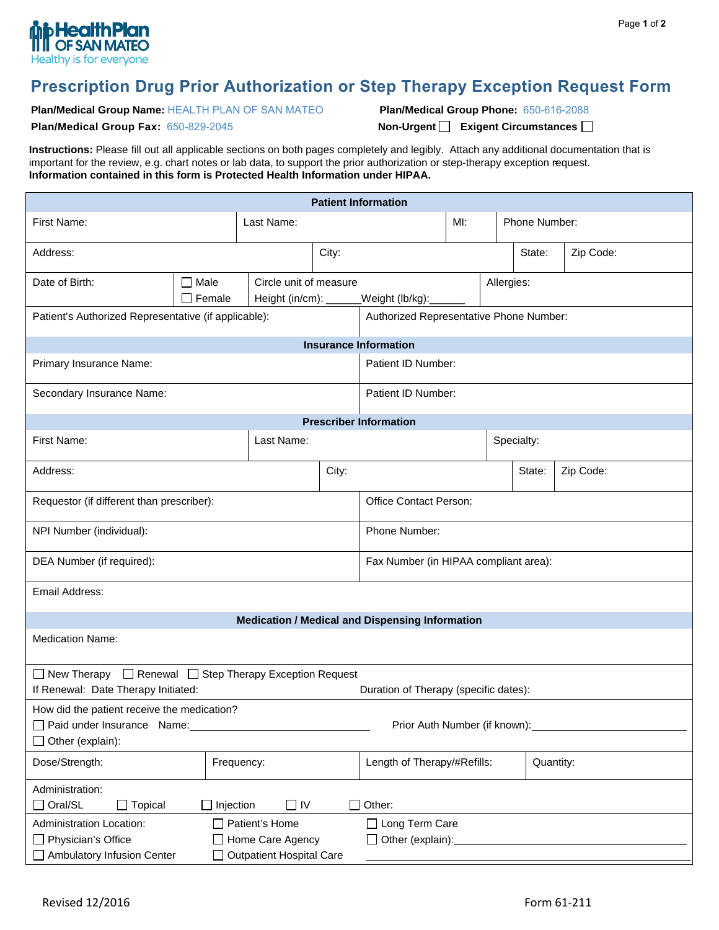

## **Prescription Drug Prior Authorization or Step Therapy Exception Request Form**

**Plan/Medical Group Name:** HEALTH PLAN OF SAN MATEO

**Plan/Medical Group Phone:** 650-616-2088

**Plan/Medical Group Fax:** 650-829-2045

 **Non-Urgent Exigent Circumstances** 

**Instructions:** Please fill out all applicable sections on both pages completely and legibly. Attach any additional documentation that is important for the review, e.g. chart notes or lab data, to support the prior authorization or step-therapy exception request. **Information contained in this form is Protected Health Information under HIPAA.** 

| <b>Patient Information</b>                                                                                                            |                       |                                                 |                                |                                                        |  |               |            |           |
|---------------------------------------------------------------------------------------------------------------------------------------|-----------------------|-------------------------------------------------|--------------------------------|--------------------------------------------------------|--|---------------|------------|-----------|
| First Name:<br>Last Name:                                                                                                             |                       |                                                 |                                | $Ml$ :                                                 |  | Phone Number: |            |           |
| Address:                                                                                                                              |                       |                                                 | City:                          |                                                        |  |               | State:     | Zip Code: |
| Date of Birth:                                                                                                                        | $\Box$ Male<br>Female | Circle unit of measure<br>Height (in/cm): _____ | Allergies:<br>_Weight (lb/kg): |                                                        |  |               |            |           |
| Patient's Authorized Representative (if applicable):                                                                                  |                       |                                                 |                                | Authorized Representative Phone Number:                |  |               |            |           |
| <b>Insurance Information</b>                                                                                                          |                       |                                                 |                                |                                                        |  |               |            |           |
| Primary Insurance Name:                                                                                                               |                       |                                                 |                                | Patient ID Number:                                     |  |               |            |           |
| Secondary Insurance Name:                                                                                                             |                       |                                                 |                                | Patient ID Number:                                     |  |               |            |           |
|                                                                                                                                       |                       |                                                 |                                | <b>Prescriber Information</b>                          |  |               |            |           |
| First Name:                                                                                                                           |                       | Last Name:                                      |                                |                                                        |  |               | Specialty: |           |
| Address:                                                                                                                              |                       |                                                 | City:                          |                                                        |  |               | State:     | Zip Code: |
| Requestor (if different than prescriber):                                                                                             |                       |                                                 |                                | <b>Office Contact Person:</b>                          |  |               |            |           |
| NPI Number (individual):                                                                                                              |                       |                                                 |                                | Phone Number:                                          |  |               |            |           |
| DEA Number (if required):                                                                                                             |                       |                                                 |                                | Fax Number (in HIPAA compliant area):                  |  |               |            |           |
| Email Address:                                                                                                                        |                       |                                                 |                                |                                                        |  |               |            |           |
|                                                                                                                                       |                       |                                                 |                                | <b>Medication / Medical and Dispensing Information</b> |  |               |            |           |
| <b>Medication Name:</b>                                                                                                               |                       |                                                 |                                |                                                        |  |               |            |           |
| □ New Therapy □ Renewal □ Step Therapy Exception Request                                                                              |                       |                                                 |                                |                                                        |  |               |            |           |
| If Renewal: Date Therapy Initiated:<br>Duration of Therapy (specific dates):                                                          |                       |                                                 |                                |                                                        |  |               |            |           |
| How did the patient receive the medication?<br>Paid under Insurance Name:<br>Prior Auth Number (if known):<br>$\Box$ Other (explain): |                       |                                                 |                                |                                                        |  |               |            |           |
| Dose/Strength:                                                                                                                        | Frequency:            |                                                 |                                | Length of Therapy/#Refills:                            |  |               | Quantity:  |           |
| Administration:<br>$\Box$ Oral/SL<br>Other:<br>Topical<br>$\Box$ Injection<br>$\square$ IV                                            |                       |                                                 |                                |                                                        |  |               |            |           |
| Administration Location:<br>$\Box$ Patient's Home                                                                                     |                       |                                                 | □ Long Term Care               |                                                        |  |               |            |           |
| □ Physician's Office<br>Home Care Agency                                                                                              |                       |                                                 | $\Box$ Other (explain):        |                                                        |  |               |            |           |
| Ambulatory Infusion Center<br><b>Outpatient Hospital Care</b>                                                                         |                       |                                                 |                                |                                                        |  |               |            |           |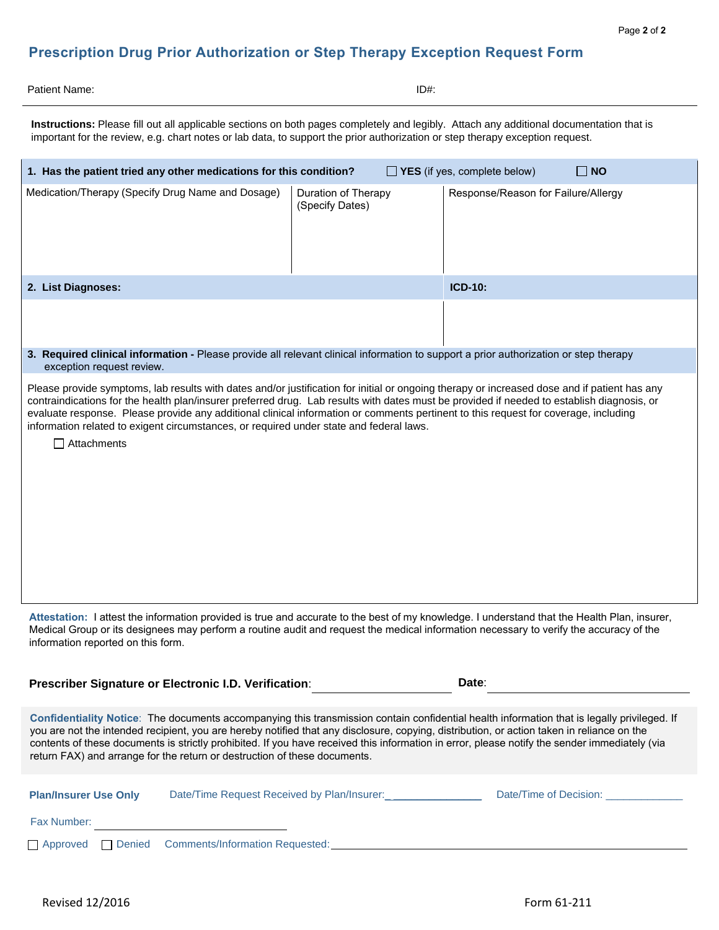## **Prescription Drug Prior Authorization or Step Therapy Exception Request Form**

| ID#: |
|------|
|      |

**Instructions:** Please fill out all applicable sections on both pages completely and legibly. Attach any additional documentation that is important for the review, e.g. chart notes or lab data, to support the prior authorization or step therapy exception request.

| 1. Has the patient tried any other medications for this condition?<br>$\Box$ YES (if yes, complete below)<br>$\Box$ NO                                                                                                                                                                                                                                                                                                                                                                                                                                                     |                                        |                                     |  |  |  |
|----------------------------------------------------------------------------------------------------------------------------------------------------------------------------------------------------------------------------------------------------------------------------------------------------------------------------------------------------------------------------------------------------------------------------------------------------------------------------------------------------------------------------------------------------------------------------|----------------------------------------|-------------------------------------|--|--|--|
| Medication/Therapy (Specify Drug Name and Dosage)                                                                                                                                                                                                                                                                                                                                                                                                                                                                                                                          | Duration of Therapy<br>(Specify Dates) | Response/Reason for Failure/Allergy |  |  |  |
| 2. List Diagnoses:                                                                                                                                                                                                                                                                                                                                                                                                                                                                                                                                                         |                                        | <b>ICD-10:</b>                      |  |  |  |
|                                                                                                                                                                                                                                                                                                                                                                                                                                                                                                                                                                            |                                        |                                     |  |  |  |
| 3. Required clinical information - Please provide all relevant clinical information to support a prior authorization or step therapy                                                                                                                                                                                                                                                                                                                                                                                                                                       |                                        |                                     |  |  |  |
| exception request review.<br>Please provide symptoms, lab results with dates and/or justification for initial or ongoing therapy or increased dose and if patient has any<br>contraindications for the health plan/insurer preferred drug. Lab results with dates must be provided if needed to establish diagnosis, or<br>evaluate response. Please provide any additional clinical information or comments pertinent to this request for coverage, including<br>information related to exigent circumstances, or required under state and federal laws.<br>  Attachments |                                        |                                     |  |  |  |
| Attestation: I attest the information provided is true and accurate to the best of my knowledge. I understand that the Health Plan, insurer,<br>Medical Group or its designees may perform a routine audit and request the medical information necessary to verify the accuracy of the<br>information reported on this form.                                                                                                                                                                                                                                               |                                        |                                     |  |  |  |
| Prescriber Signature or Electronic I.D. Verification:                                                                                                                                                                                                                                                                                                                                                                                                                                                                                                                      |                                        | Date:                               |  |  |  |
| Confidentiality Notice: The documents accompanying this transmission contain confidential health information that is legally privileged. If<br>you are not the intended recipient, you are hereby notified that any disclosure, copying, distribution, or action taken in reliance on the<br>contents of these documents is strictly prohibited. If you have received this information in error, please notify the sender immediately (via<br>return FAX) and arrange for the return or destruction of these documents.                                                    |                                        |                                     |  |  |  |

| <b>Plan/Insurer Use Only</b> |  | Date/Time Request Received by Plan/Insurer: | Date/Time of Decision: |  |  |
|------------------------------|--|---------------------------------------------|------------------------|--|--|
| Fax Number:                  |  |                                             |                        |  |  |
| $\Box$ Approved              |  | Denied Comments/Information Requested:      |                        |  |  |